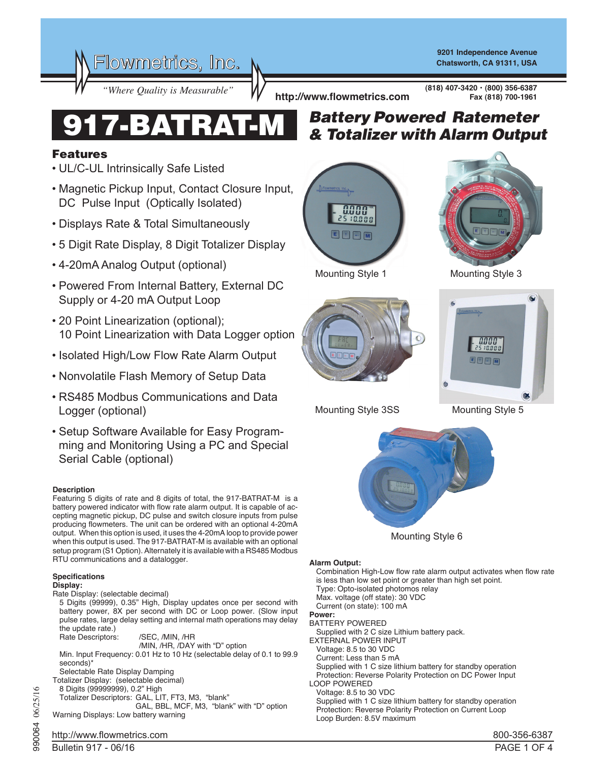

**9201 Independence Avenue Chatsworth, CA 91311, USA**

*"Where Quality is Measurable"* **http://www.flowmetrics.com**

**(818) 407-3420 • (800) 356-6387 Fax (818) 700-1961**

# 917-BATRAT-M *Battery Powered Ratemeter & Totalizer with Alarm Output*

## Features

- UL/C-UL Intrinsically Safe Listed
- Magnetic Pickup Input, Contact Closure Input, DC Pulse Input (Optically Isolated)
- Displays Rate & Total Simultaneously
- 5 Digit Rate Display, 8 Digit Totalizer Display
- 4-20mA Analog Output (optional)
- Powered From Internal Battery, External DC Supply or 4-20 mA Output Loop
- 20 Point Linearization (optional); 10 Point Linearization with Data Logger option
- Isolated High/Low Flow Rate Alarm Output
- Nonvolatile Flash Memory of Setup Data
- RS485 Modbus Communications and Data Logger (optional)
- Setup Software Available for Easy Programming and Monitoring Using a PC and Special Serial Cable (optional)

## **Description**

Featuring 5 digits of rate and 8 digits of total, the 917-BATRAT-M is a battery powered indicator with flow rate alarm output. It is capable of accepting magnetic pickup, DC pulse and switch closure inputs from pulse producing flowmeters. The unit can be ordered with an optional 4-20mA output. When this option is used, it uses the 4-20mA loop to provide power when this output is used. The 917-BATRAT-M is available with an optional setup program (S1 Option). Alternately it is available with a RS485 Modbus RTU communications and a datalogger.

## **Specifications**

## **Display:**

Rate Display: (selectable decimal)

5 Digits (99999), 0.35" High, Display updates once per second with battery power, 8X per second with DC or Loop power. (Slow input pulse rates, large delay setting and internal math operations may delay the update rate.)

Rate Descriptors: /SEC, /MIN, /HR

/MIN, /HR, /DAY with "D" option Min. Input Frequency: 0.01 Hz to 10 Hz (selectable delay of 0.1 to 99.9 seconds)\*

Selectable Rate Display Damping Totalizer Display: (selectable decimal)

8 Digits (99999999), 0.2" High

Totalizer Descriptors: GAL, LIT, FT3, M3, "blank" GAL, BBL, MCF, M3, "blank" with "D" option Warning Displays: Low battery warning







Mounting Style 1 Mounting Style 3



Mounting Style 3SS

Mounting Style 5



Mounting Style 6

## **Alarm Output:**

Combination High-Low flow rate alarm output activates when flow rate is less than low set point or greater than high set point. Type: Opto-isolated photomos relay Max. voltage (off state): 30 VDC Current (on state): 100 mA **Power:** BATTERY POWERED Supplied with 2 C size Lithium battery pack. EXTERNAL POWER INPUT Voltage: 8.5 to 30 VDC Current: Less than 5 mA Supplied with 1 C size lithium battery for standby operation Protection: Reverse Polarity Protection on DC Power Input LOOP POWERED Voltage: 8.5 to 30 VDC Supplied with 1 C size lithium battery for standby operation Protection: Reverse Polarity Protection on Current Loop

990064 06/25/16 990064 06/25/16

Loop Burden: 8.5V maximum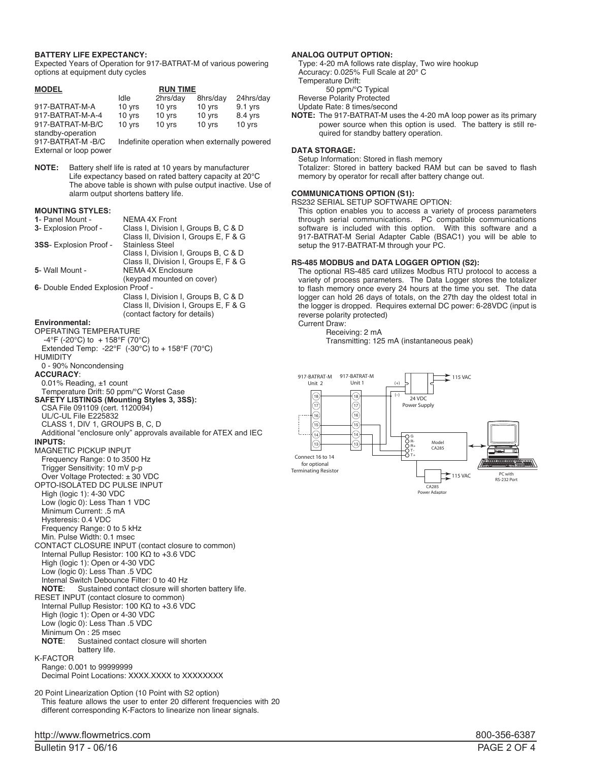#### **BATTERY LIFE EXPECTANCY:**

Expected Years of Operation for 917-BATRAT-M of various powering options at equipment duty cycles

| <b>MODEL</b>        | <b>RUN TIME</b> |                                              |          |           |
|---------------------|-----------------|----------------------------------------------|----------|-----------|
|                     | Idle            | 2hrs/day                                     | 8hrs/day | 24hrs/day |
| 917-BATRAT-M-A      | 10 yrs          | 10 yrs                                       | 10 yrs   | $9.1$ yrs |
| 917-BATRAT-M-A-4    | 10 yrs          | 10 yrs                                       | 10 yrs   | 8.4 yrs   |
| 917-BATRAT-M-B/C    | 10 yrs          | 10 yrs                                       | 10 yrs   | 10 yrs    |
| standby-operation   |                 |                                              |          |           |
| $917-RATRAT-M-R/C.$ |                 | Indefinite oneration when externally nowered |          |           |

Indefinite operation when externally powered External or loop power

**NOTE:** Battery shelf life is rated at 10 years by manufacturer Life expectancy based on rated battery capacity at 20°C The above table is shown with pulse output inactive. Use of alarm output shortens battery life.

#### **MOUNTING STYLES:**

| 1- Panel Mount -                  | NEMA 4X Front                         |  |  |  |
|-----------------------------------|---------------------------------------|--|--|--|
| 3- Explosion Proof -              | Class I, Division I, Groups B, C & D  |  |  |  |
|                                   | Class II, Division I, Groups E, F & G |  |  |  |
| 3SS- Explosion Proof -            | Stainless Steel                       |  |  |  |
|                                   | Class I, Division I, Groups B, C & D  |  |  |  |
|                                   | Class II, Division I, Groups E, F & G |  |  |  |
| 5- Wall Mount -                   | NEMA 4X Enclosure                     |  |  |  |
|                                   | (keypad mounted on cover)             |  |  |  |
| 6- Double Ended Explosion Proof - |                                       |  |  |  |
|                                   | Class I, Division I, Groups B, C & D  |  |  |  |
|                                   | Class II, Division I, Groups E, F & G |  |  |  |
|                                   | (contact factory for details)         |  |  |  |
| <b>Environmental:</b>             |                                       |  |  |  |
| $\bigcap$                         |                                       |  |  |  |

| OPERATING TEMPERATURE                                                      |
|----------------------------------------------------------------------------|
| $-4^{\circ}$ F (-20 $^{\circ}$ C) to + 158 $^{\circ}$ F (70 $^{\circ}$ C)  |
| Extended Temp: -22°F (-30°C) to + 158°F (70°C)                             |
| <b>HUMIDITY</b>                                                            |
| 0 - 90% Noncondensing                                                      |
| <b>ACCURACY:</b>                                                           |
| 0.01% Reading, $±1$ count                                                  |
| Temperature Drift: 50 ppm/°C Worst Case                                    |
| <b>SAFETY LISTINGS (Mounting Styles 3, 3SS):</b>                           |
| CSA File 091109 (cert. 1120094)                                            |
| UL/C-UL File E225832                                                       |
| CLASS 1, DIV 1, GROUPS B, C, D                                             |
| Additional "enclosure only" approvals available for ATEX and IEC           |
| <b>INPUTS:</b><br><b>MAGNETIC PICKUP INPUT</b>                             |
| Frequency Range: 0 to 3500 Hz                                              |
| Trigger Sensitivity: 10 mV p-p                                             |
| Over Voltage Protected: ±30 VDC                                            |
| OPTO-ISOLATED DC PULSE INPUT                                               |
| High (logic 1): 4-30 VDC                                                   |
| Low (logic 0): Less Than 1 VDC                                             |
| Minimum Current: .5 mA                                                     |
| Hysteresis: 0.4 VDC                                                        |
| Frequency Range: 0 to 5 kHz                                                |
| Min. Pulse Width: 0.1 msec                                                 |
| CONTACT CLOSURE INPUT (contact closure to common)                          |
| Internal Pullup Resistor: 100 K $\Omega$ to +3.6 VDC                       |
| High (logic 1): Open or 4-30 VDC                                           |
| Low (logic 0): Less Than .5 VDC                                            |
| Internal Switch Debounce Filter: 0 to 40 Hz                                |
| Sustained contact closure will shorten battery life.<br>NOTE:              |
| RESET INPUT (contact closure to common)                                    |
| Internal Pullup Resistor: 100 K $\Omega$ to +3.6 VDC                       |
| High (logic 1): Open or 4-30 VDC                                           |
| Low (logic 0): Less Than .5 VDC                                            |
| Minimum On: 25 msec                                                        |
| <b>NOTE:</b><br>Sustained contact closure will shorten                     |
| battery life.                                                              |
| <b>K-FACTOR</b>                                                            |
| Range: 0.001 to 99999999<br>Decimal Point Locations: XXXX XXXX to XXXXXXXX |
|                                                                            |
| 20 Point Linearization Option (10 Point with S2 option)                    |
| This feature allows the user to enter 20 different frequencies with 20     |

different corresponding K-Factors to linearize non linear signals.

#### **ANALOG OUTPUT OPTION:**

Type: 4-20 mA follows rate display, Two wire hookup Accuracy: 0.025% Full Scale at 20° C

Temperature Drift:

50 ppm/°C Typical Reverse Polarity Protected

Update Rate: 8 times/second

**NOTE:** The 917-BATRAT-M uses the 4-20 mA loop power as its primary power source when this option is used. The battery is still required for standby battery operation.

#### **DATA STORAGE:**

Setup Information: Stored in flash memory Totalizer: Stored in battery backed RAM but can be saved to flash memory by operator for recall after battery change out.

#### **COMMUNICATIONS OPTION (S1):**

RS232 SERIAL SETUP SOFTWARE OPTION:

This option enables you to access a variety of process parameters through serial communications. PC compatible communications software is included with this option. With this software and a 917-BATRAT-M Serial Adapter Cable (BSAC1) you will be able to setup the 917-BATRAT-M through your PC.

#### **RS-485 MODBUS and DATA LOGGER OPTION (S2):**

The optional RS-485 card utilizes Modbus RTU protocol to access a variety of process parameters. The Data Logger stores the totalizer to flash memory once every 24 hours at the time you set. The data logger can hold 26 days of totals, on the 27th day the oldest total in the logger is dropped. Requires external DC power: 6-28VDC (input is reverse polarity protected)

Current Draw:

Receiving: 2 mA Transmitting: 125 mA (instantaneous peak)

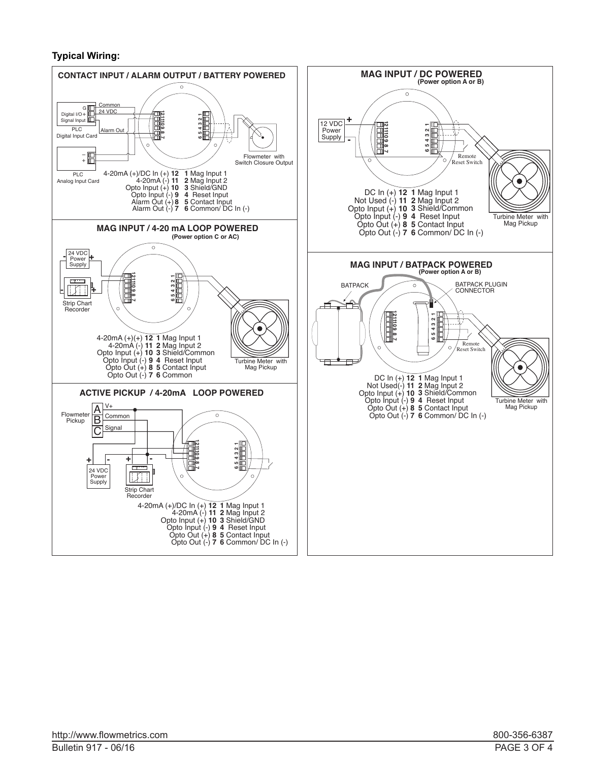## **Typical Wiring:**